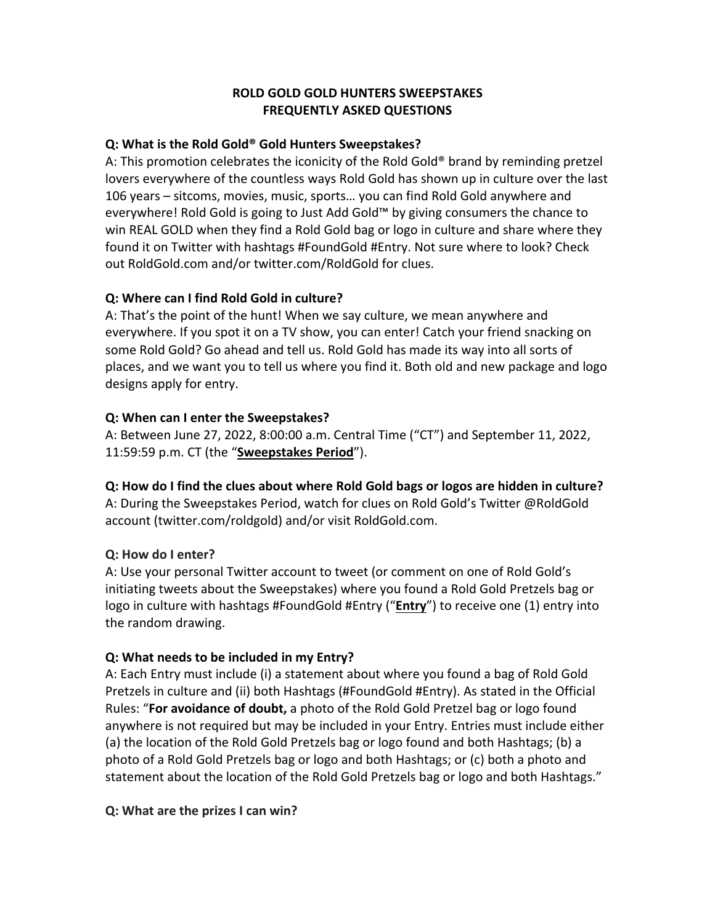### **ROLD GOLD GOLD HUNTERS SWEEPSTAKES FREQUENTLY ASKED QUESTIONS**

### **Q: What is the Rold Gold® Gold Hunters Sweepstakes?**

A: This promotion celebrates the iconicity of the Rold Gold® brand by reminding pretzel lovers everywhere of the countless ways Rold Gold has shown up in culture over the last 106 years – sitcoms, movies, music, sports… you can find Rold Gold anywhere and everywhere! Rold Gold is going to Just Add Gold™ by giving consumers the chance to win REAL GOLD when they find a Rold Gold bag or logo in culture and share where they found it on Twitter with hashtags #FoundGold #Entry. Not sure where to look? Check out RoldGold.com and/or twitter.com/RoldGold for clues.

### **Q: Where can I find Rold Gold in culture?**

A: That's the point of the hunt! When we say culture, we mean anywhere and everywhere. If you spot it on a TV show, you can enter! Catch your friend snacking on some Rold Gold? Go ahead and tell us. Rold Gold has made its way into all sorts of places, and we want you to tell us where you find it. Both old and new package and logo designs apply for entry.

### **Q: When can I enter the Sweepstakes?**

A: Between June 27, 2022, 8:00:00 a.m. Central Time ("CT") and September 11, 2022, 11:59:59 p.m. CT (the "**Sweepstakes Period**").

## **Q: How do I find the clues about where Rold Gold bags or logos are hidden in culture?**

A: During the Sweepstakes Period, watch for clues on Rold Gold's Twitter @RoldGold account (twitter.com/roldgold) and/or visit RoldGold.com.

## **Q: How do I enter?**

A: Use your personal Twitter account to tweet (or comment on one of Rold Gold's initiating tweets about the Sweepstakes) where you found a Rold Gold Pretzels bag or logo in culture with hashtags #FoundGold #Entry ("**Entry**") to receive one (1) entry into the random drawing.

## **Q: What needs to be included in my Entry?**

A: Each Entry must include (i) a statement about where you found a bag of Rold Gold Pretzels in culture and (ii) both Hashtags (#FoundGold #Entry). As stated in the Official Rules: "**For avoidance of doubt,** a photo of the Rold Gold Pretzel bag or logo found anywhere is not required but may be included in your Entry. Entries must include either (a) the location of the Rold Gold Pretzels bag or logo found and both Hashtags; (b) a photo of a Rold Gold Pretzels bag or logo and both Hashtags; or (c) both a photo and statement about the location of the Rold Gold Pretzels bag or logo and both Hashtags."

## **Q: What are the prizes I can win?**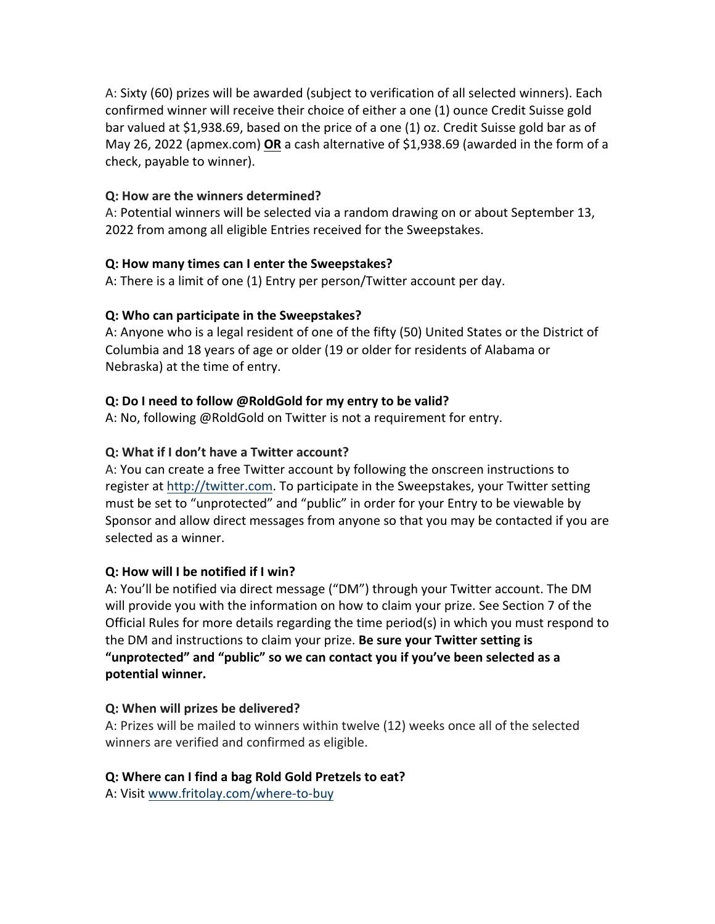A: Sixty (60) prizes will be awarded (subject to verification of all selected winners). Each confirmed winner will receive their choice of either a one (1) ounce Credit Suisse gold bar valued at \$1,938.69, based on the price of a one (1) oz. Credit Suisse gold bar as of May 26, 2022 (apmex.com) **OR** a cash alternative of \$1,938.69 (awarded in the form of a check, payable to winner).

## **Q: How are the winners determined?**

A: Potential winners will be selected via a random drawing on or about September 13, 2022 from among all eligible Entries received for the Sweepstakes.

## **Q: How many times can I enter the Sweepstakes?**

A: There is a limit of one (1) Entry per person/Twitter account per day.

## **Q: Who can participate in the Sweepstakes?**

A: Anyone who is a legal resident of one of the fifty (50) United States or the District of Columbia and 18 years of age or older (19 or older for residents of Alabama or Nebraska) at the time of entry.

# **Q: Do I need to follow @RoldGold for my entry to be valid?**

A: No, following @RoldGold on Twitter is not a requirement for entry.

# **Q: What if I don't have a Twitter account?**

A: You can create a free Twitter account by following the onscreen instructions to register at http://twitter.com. To participate in the Sweepstakes, your Twitter setting must be set to "unprotected" and "public" in order for your Entry to be viewable by Sponsor and allow direct messages from anyone so that you may be contacted if you are selected as a winner.

# **Q: How will I be notified if I win?**

A: You'll be notified via direct message ("DM") through your Twitter account. The DM will provide you with the information on how to claim your prize. See Section 7 of the Official Rules for more details regarding the time period(s) in which you must respond to the DM and instructions to claim your prize. **Be sure your Twitter setting is "unprotected" and "public" so we can contact you if you've been selected as a potential winner.**

## **Q: When will prizes be delivered?**

A: Prizes will be mailed to winners within twelve (12) weeks once all of the selected winners are verified and confirmed as eligible.

## **Q: Where can I find a bag Rold Gold Pretzels to eat?**

A: Visit www.fritolay.com/where-to-buy